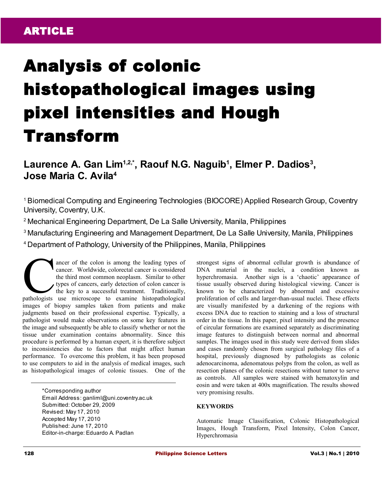# Analysis of colonic histopathological images using pixel intensities and Hough Transform

**Laurence A. Gan Lim1,2,\*, Raouf N.G. Naguib<sup>1</sup> , Elmer P. Dadios<sup>3</sup> , Jose Maria C. Avila<sup>4</sup>**

<sup>1</sup>Biomedical Computing and Engineering Technologies (BIOCORE) Applied Research Group, Coventry University, Coventry, U.K.

<sup>2</sup>Mechanical Engineering Department, De La Salle University, Manila, Philippines

<sup>3</sup>Manufacturing Engineering and Management Department, De La Salle University, Manila, Philippines

<sup>4</sup>Department of Pathology, University of the Philippines, Manila, Philippines

ancer of the colon is among the leading types of cancer. Worldwide, colorectal cancer is considered the third most common neoplasm. Similar to other types of cancers, early detection of colon cancer is the key to a successful treatment. Traditionally, ancer of the colon is among the leading types of cancer. Worldwide, colorectal cancer is considered the third most common neoplasm. Similar to other types of cancers, early detection of colon cancer is the key to a success images of biopsy samples taken from patients and make judgments based on their professional expertise. Typically, a pathologist would make observations on some key features in the image and subsequently be able to classify whether or not the tissue under examination contains abnormality. Since this procedure is performed by a human expert, it is therefore subject to inconsistencies due to factors that might affect human performance. To overcome this problem, it has been proposed to use computers to aid in the analysis of medical images, such as histopathological images of colonic tissues. One of the

> \*Corresponding author Email Address: ganliml@uni.coventry.ac.uk Submitted: October 29, 2009 Revised: May 17, 2010 Accepted May 17, 2010 Published: June 17, 2010 Editor-in-charge: Eduardo A. Padlan

strongest signs of abnormal cellular growth is abundance of DNA material in the nuclei, a condition known as hyperchromasia. Another sign is a 'chaotic' appearance of tissue usually observed during histological viewing. Cancer is known to be characterized by abnormal and excessive proliferation of cells and larger-than-usual nuclei. These effects are visually manifested by a darkening of the regions with excess DNA due to reaction to staining and a loss of structural order in the tissue. In this paper, pixel intensity and the presence of circular formations are examined separately as discriminating image features to distinguish between normal and abnormal samples. The images used in this study were derived from slides and cases randomly chosen from surgical pathology files of a hospital, previously diagnosed by pathologists as colonic adenocarcinoma, adenomatous polyps from the colon, as well as resection planes of the colonic resections without tumor to serve as controls. All samples were stained with hematoxylin and eosin and were taken at 400x magnification. The results showed very promising results.

## **KEYWORDS**

Automatic Image Classification, Colonic Histopathological Images, Hough Transform, Pixel Intensity, Colon Cancer, Hyperchromasia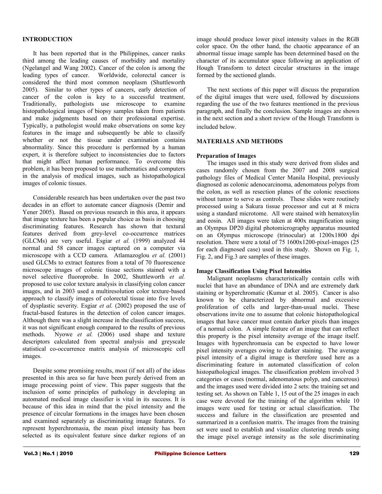## **INTRODUCTION**

It has been reported that in the Philippines, cancer ranks third among the leading causes of morbidity and mortality (Ngelangel and Wang 2002). Cancer of the colon is among the leading types of cancer. Worldwide, colorectal cancer is considered the third most common neoplasm (Shuttleworth 2005). Similar to other types of cancers, early detection of cancer of the colon is key to a successful treatment. Traditionally, pathologists use microscope to examine histopathological images of biopsy samples taken from patients and make judgments based on their professional expertise. Typically, a pathologist would make observations on some key features in the image and subsequently be able to classify whether or not the tissue under examination contains abnormality. Since this procedure is performed by a human expert, it is therefore subject to inconsistencies due to factors that might affect human performance. To overcome this problem, it has been proposed to use mathematics and computers in the analysis of medical images, such as histopathological images of colonic tissues.

Considerable research has been undertaken over the past two decades in an effort to automate cancer diagnosis (Demir and Yener 2005). Based on previous research in this area, it appears that image texture has been a popular choice as basis in choosing discriminating features. Research has shown that textural features derived from grey-level co-occurrence matrices (GLCMs) are very useful. Esgiar *et al.* (1999) analyzed 44 normal and 58 cancer images captured on a computer via microscope with a CCD camera. Atlamazoglou *et al.* (2001) used GLCMs to extract features from a total of 70 fluorescence microscope images of colonic tissue sections stained with a novel selective fluoroprobe. In 2002, Shuttleworth *et al.* proposed to use color texture analysis in classifying colon cancer images, and in 2003 used a multiresolution color texture-based approach to classify images of colorectal tissue into five levels of dysplastic severity. Esgiar *et al.* (2002) proposed the use of fractal-based features in the detection of colon cancer images. Although there was a slight increase in the classification success, it was not significant enough compared to the results of previous methods. Nyowe *et al.* (2006) used shape and texture descriptors calculated from spectral analysis and greyscale statistical co-occurrence matrix analysis of microscopic cell images.

Despite some promising results, most (if not all) of the ideas presented in this area so far have been purely derived from an image processing point of view. This paper suggests that the inclusion of some principles of pathology in developing an automated medical image classifier is vital in its success. It is because of this idea in mind that the pixel intensity and the presence of circular formations in the images have been chosen and examined separately as discriminating image features. To represent hyperchromasia, the mean pixel intensity has been selected as its equivalent feature since darker regions of an

image should produce lower pixel intensity values in the RGB color space. On the other hand, the chaotic appearance of an abnormal tissue image sample has been determined based on the character of its accumulator space following an application of Hough Transform to detect circular structures in the image formed by the sectioned glands.

The next sections of this paper will discuss the preparation of the digital images that were used, followed by discussions regarding the use of the two features mentioned in the previous paragraph, and finally the conclusion. Sample images are shown in the next section and a short review of the Hough Transform is included below.

### **MATERIALS AND METHODS**

#### **Preparation of Images**

The images used in this study were derived from slides and cases randomly chosen from the 2007 and 2008 surgical pathology files of Medical Center Manila Hospital, previously diagnosed as colonic adenocarcinoma, adenomatous polyps from the colon, as well as resection planes of the colonic resections without tumor to serve as controls. These slides were routinely processed using a Sakura tissue processor and cut at 8 micra using a standard microtome. All were stained with hematoxylin and eosin. All images were taken at 400x magnification using an Olympus DP20 digital photomicrography apparatus mounted on an Olympus microscope (trinocular) at 1200x1800 dpi resolution. There were a total of 75 1600x1200-pixel-images (25 for each diagnosed case) used in this study. Shown on Fig. 1, Fig. 2, and Fig.3 are samples of these images.

## **Image Classification Using Pixel Intensities**

Malignant neoplasms characteristically contain cells with nuclei that have an abundance of DNA and are extremely dark staining or hyperchromatic (Kumar et al. 2005). Cancer is also known to be characterized by abnormal and excessive proliferation of cells and larger-than-usual nuclei. These observations invite one to assume that colonic histopathological images that have cancer must contain darker pixels than images of a normal colon. A simple feature of an image that can reflect this property is the pixel intensity average of the image itself. Images with hyperchromasia can be expected to have lower pixel intensity averages owing to darker staining. The average pixel intensity of a digital image is therefore used here as a discriminating feature in automated classification of colon histopathological images. The classification problem involved 3 categories or cases (normal, adenomatous polyp, and cancerous) and the images used were divided into 2 sets: the training set and testing set. As shown on Table 1, 15 out of the 25 images in each case were devoted for the training of the algorithm while 10 images were used for testing or actual classification. The success and failure in the classification are presented and summarized in a confusion matrix. The images from the training set were used to establish and visualize clustering trends using the image pixel average intensity as the sole discriminating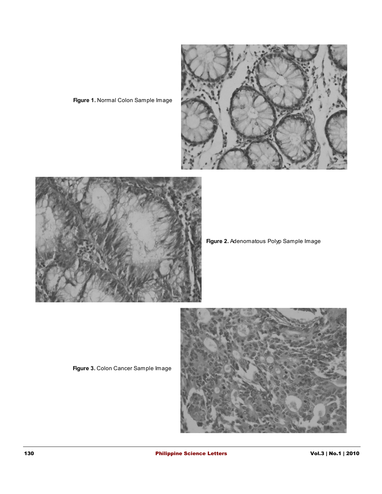

**Figure 1.** Normal Colon Sample Image



**Figure 2.** Adenomatous Polyp Sample Image

**Figure 3.** Colon Cancer Sample Image

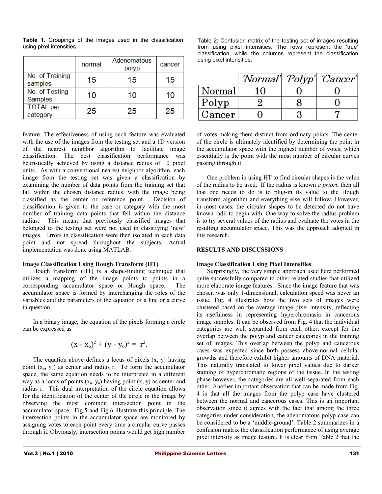|                              | normal | Adenomatous<br>polyp | cancer |
|------------------------------|--------|----------------------|--------|
| No. of Training<br>samples   | 15     | 15                   | 15     |
| No. of Testing<br>Samples    | 10     | 10                   | 10     |
| <b>TOTAL</b> per<br>category | 25     | 25                   | 25     |

**Table 1.** Groupings of the images used in the classification using pixel intensities.

feature. The effectiveness of using such feature was evaluated with the use of the images from the testing set and a 1D version of the nearest neighbor algorithm to facilitate image classification. The best classification performance was heuristically achieved by using a distance radius of 10 pixel units. As with a conventional nearest neighbor algorithm, each image from the testing set was given a classification by examining the number of data points from the training set that fall within the chosen distance radius, with the image being classified as the center or reference point. Decision of classification is given to the case or category with the most number of training data points that fell within the distance radius. This meant that previously classified images that belonged to the testing set were not used in classifying 'new' images. Errors in classification were then isolated in each data point and not spread throughout the subjects. Actual implementation was done using MATLAB.

### **Image Classification Using Hough Transform (HT)**

Hough transform (HT) is a shape-finding technique that utilizes a mapping of the image points to points in a corresponding accumulator space or Hough space. The accumulator space is formed by interchanging the roles of the variables and the parameters of the equation of a line or a curve in question.

In a binary image, the equation of the pixels forming a circle can be expressed as

$$
(x - xo)2 + (y - yo)2 = r2.
$$

The equation above defines a locus of pixels (x, y) having point  $(x_0, y_0)$  as center and radius r. To form the accumulator space, the same equation needs to be interpreted in a different way as a locus of points  $(x_0, y_0)$  having point  $(x, y)$  as center and radius r. This dual interpretation of the circle equation allows for the identification of the center of the circle in the image by observing the most common intersection point in the accumulator space. Fig.5 and Fig.6 illustrate this principle. The intersection points in the accumulator space are monitored by assigning votes to each point every time a circular curve passes through it. Obviously, intersection points would get high number Table 2: Confusion matrix of the testing set of images resulting from using pixel intensities. The rows represent the 'true' classification, while the columns represent the classification using pixel intensities.

|        |  | Normal' Polyp' Cancer' |
|--------|--|------------------------|
| Normal |  |                        |
| Polyp  |  |                        |
| Cancer |  |                        |

of votes making them distinct from ordinary points. The center of the circle is ultimately identified by determining the point in the accumulator space with the highest number of votes; which essentially is the point with the most number of circular curves passing through it.

One problem in using HT to find circular shapes is the value of the radius to be used. If the radius is known *a priori*, then all that one needs to do is to plug-in its value to the Hough transform algorithm and everything else will follow. However, in most cases, the circular shapes to be detected do not have known radii to begin with. One way to solve the radius problem is to try several values of the radius and evaluate the votes in the resulting accumulator space. This was the approach adopted in this research.

### **RESULTS AND DISCUSSIONS**

## **Image Classification Using Pixel Intensities**

Surprisingly, the very simple approach used here performed quite successfully compared to other related studies that utilized more elaborate image features. Since the image feature that was chosen was only 1-dimensional, calculation speed was never an issue. Fig. 4 illustrates how the two sets of images were clustered based on the average image pixel intensity, reflecting its usefulness in representing hyperchromasia in cancerous image samples. It can be observed from Fig. 4 that the individual categories are well separated from each other; except for the overlap between the polyp and cancer categories in the training set of images. This overlap between the polyp and cancerous cases was expected since both possess above-normal cellular growths and therefore exhibit higher amounts of DNA material. This naturally translated to lower pixel values due to darker staining of hyperchromatic regions of the tissue. In the testing phase however, the categories are all well separated from each other. Another important observation that can be made from Fig. 4 is that all the images from the polyp case have clustered between the normal and cancerous cases. This is an important observation since it agrees with the fact that among the three categories under consideration, the adenomatous polyp case can be considered to be a 'middle-ground'. Table 2 summarizes in a confusion matrix the classification performance of using average pixel intensity as image feature. It is clear from Table 2 that the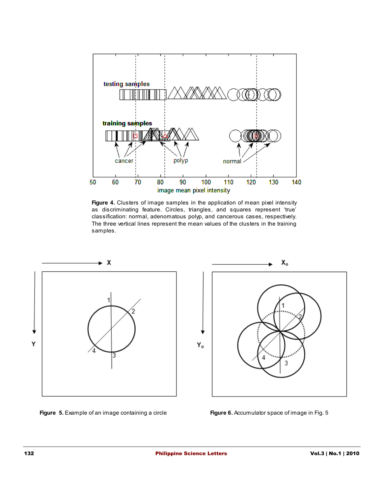

**Figure 4.** Clusters of image samples in the application of mean pixel intensity as discriminating feature. Circles, triangles, and squares represent 'true' classification: normal, adenomatous polyp, and cancerous cases, respectively. The three vertical lines represent the mean values of the clusters in the training samples.





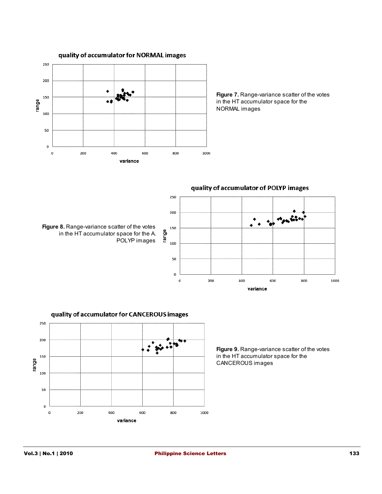

**Figure 7.** Range-variance scatter of the votes in the HT accumulator space for the NORMAL images



250 200 in matin 150 range 100 50  $\pmb{0}$ 200 400 600 800 1000  $\mathbf 0$ variance

quality of accumulator of POLYP images



quality of accumulator for CANCEROUS images

**Figure 9.** Range-variance scatter of the votes in the HT accumulator space for the CANCEROUS images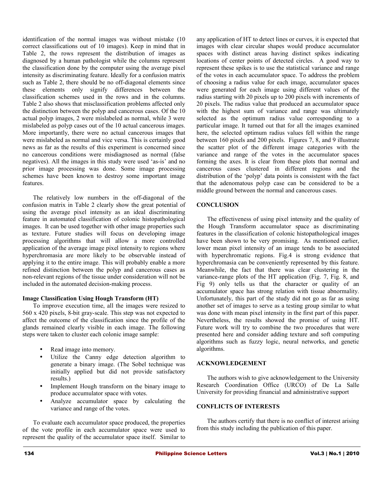identification of the normal images was without mistake (10 correct classifications out of 10 images). Keep in mind that in Table 2, the rows represent the distribution of images as diagnosed by a human pathologist while the columns represent the classification done by the computer using the average pixel intensity as discriminating feature. Ideally for a confusion matrix such as Table 2, there should be no off-diagonal elements since these elements only signify differences between the classification schemes used in the rows and in the columns. Table 2 also shows that misclassification problems affected only the distinction between the polyp and cancerous cases. Of the 10 actual polyp images, 2 were mislabeled as normal, while 3 were mislabeled as polyp cases out of the 10 actual cancerous images. More importantly, there were no actual cancerous images that were mislabeled as normal and vice versa. This is certainly good news as far as the results of this experiment is concerned since no cancerous conditions were misdiagnosed as normal (false negatives). All the images in this study were used 'as-is' and no prior image processing was done. Some image processing schemes have been known to destroy some important image features.

The relatively low numbers in the off-diagonal of the confusion matrix in Table 2 clearly show the great potential of using the average pixel intensity as an ideal discriminating feature in automated classification of colonic histopathological images. It can be used together with other image properties such as texture. Future studies will focus on developing image processing algorithms that will allow a more controlled application of the average image pixel intensity to regions where hyperchromasia are more likely to be observable instead of applying it to the entire image. This will probably enable a more refined distinction between the polyp and cancerous cases as non-relevant regions of the tissue under consideration will not be included in the automated decision-making process.

## **Image Classification Using Hough Transform (HT)**

To improve execution time, all the images were resized to 560 x 420 pixels, 8-bit gray-scale. This step was not expected to affect the outcome of the classification since the profile of the glands remained clearly visible in each image. The following steps were taken to cluster each colonic image sample:

- Read image into memory.
- Utilize the Canny edge detection algorithm to generate a binary image. (The Sobel technique was initially applied but did not provide satisfactory results.)
- Implement Hough transform on the binary image to produce accumulator space with votes.
- Analyze accumulator space by calculating the variance and range of the votes.

To evaluate each accumulator space produced, the properties of the vote profile in each accumulator space were used to represent the quality of the accumulator space itself. Similar to any application of HT to detect lines or curves, it is expected that images with clear circular shapes would produce accumulator spaces with distinct areas having distinct spikes indicating locations of center points of detected circles. A good way to represent these spikes is to use the statistical variance and range of the votes in each accumulator space. To address the problem of choosing a radius value for each image, accumulator spaces were generated for each image using different values of the radius starting with 20 pixels up to 200 pixels with increments of 20 pixels. The radius value that produced an accumulator space with the highest sum of variance and range was ultimately selected as the optimum radius value corresponding to a particular image. It turned out that for all the images examined here, the selected optimum radius values fell within the range between 160 pixels and 200 pixels. Figures 7, 8, and 9 illustrate the scatter plot of the different image categories with the variance and range of the votes in the accumulator spaces forming the axes. It is clear from these plots that normal and cancerous cases clustered in different regions and the distribution of the 'polyp' data points is consistent with the fact that the adenomatous polyp case can be considered to be a middle ground between the normal and cancerous cases.

# **CONCLUSION**

The effectiveness of using pixel intensity and the quality of the Hough Transform accumulator space as discriminating features in the classification of colonic histopathological images have been shown to be very promising. As mentioned earlier, lower mean pixel intensity of an image tends to be associated with hyperchromatic regions. Fig.4 is strong evidence that hyperchromasia can be conveniently represented by this feature. Meanwhile, the fact that there was clear clustering in the variance-range plots of the HT application (Fig. 7, Fig. 8, and Fig 9) only tells us that the character or quality of an accumulator space has strong relation with tissue abnormality. Unfortunately, this part of the study did not go as far as using another set of images to serve as a testing group similar to what was done with mean pixel intensity in the first part of this paper. Nevertheless, the results showed the promise of using HT. Future work will try to combine the two procedures that were presented here and consider adding texture and soft computing algorithms such as fuzzy logic, neural networks, and genetic algorithms.

## **ACKNOWLEDGEMENT**

The authors wish to give acknowledgement to the University Research Coordination Office (URCO) of De La Salle University for providing financial and administrative support

# **CONFLICTS OF INTERESTS**

The authors certify that there is no conflict of interest arising from this study including the publication of this paper.